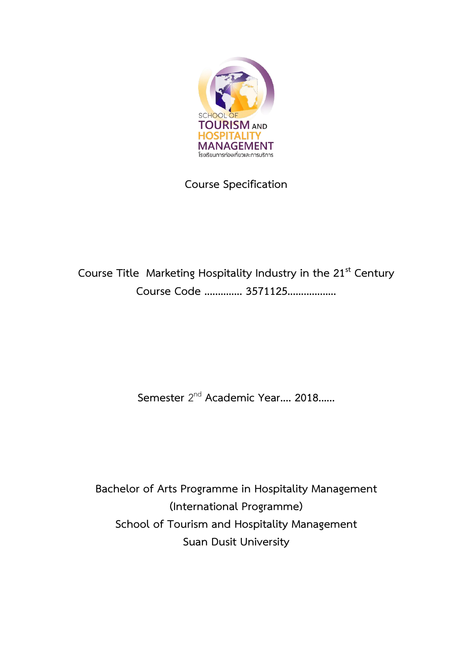

**Course Specification**

**Course Title Marketing Hospitality Industry in the 21st Century Course Code .............. 3571125..................**

**Semester** 2 nd **Academic Year.... 2018......** 

**Bachelor of Arts Programme in Hospitality Management (International Programme) School of Tourism and Hospitality Management Suan Dusit University**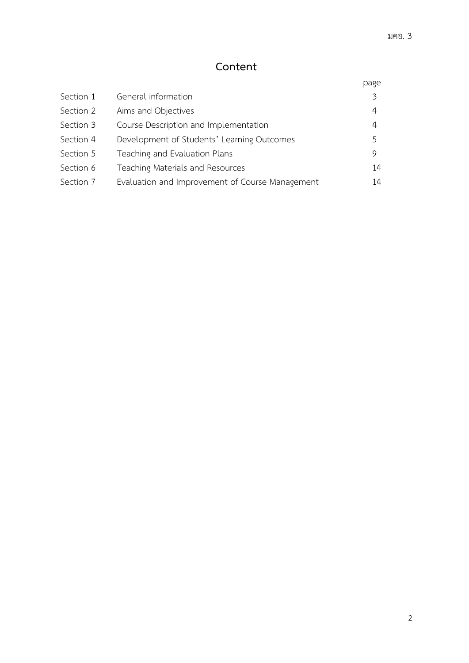# **Content**

|           |                                                 | page |
|-----------|-------------------------------------------------|------|
| Section 1 | General information                             | 3    |
| Section 2 | Aims and Objectives                             | 4    |
| Section 3 | Course Description and Implementation           | 4    |
| Section 4 | Development of Students' Learning Outcomes      | 5    |
| Section 5 | Teaching and Evaluation Plans                   | 9    |
| Section 6 | Teaching Materials and Resources                | 14   |
| Section 7 | Evaluation and Improvement of Course Management | 14   |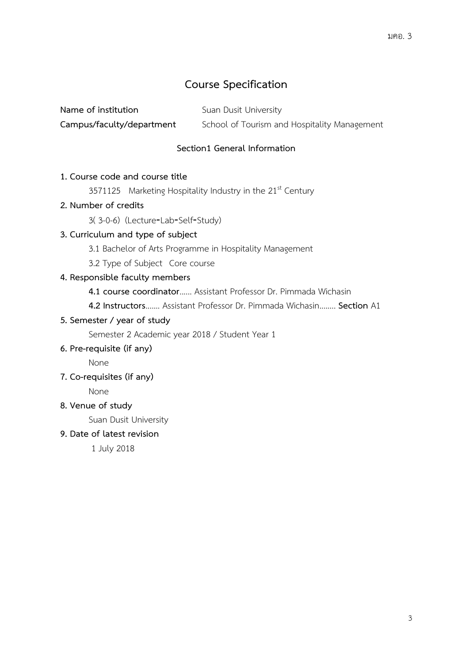## **Course Specification**

| Name of institution       | Suan Dusit University                        |
|---------------------------|----------------------------------------------|
| Campus/faculty/department | School of Tourism and Hospitality Management |

### **Section1 General Information**

### **1. Course code and course title**

**3571125** Marketing Hospitality Industry in the 21<sup>st</sup> Century

#### **2. Number of credits**

3( 3-0-6) (Lecture‐Lab‐Self‐Study)

#### **3. Curriculum and type of subject**

3.1 Bachelor of Arts Programme in Hospitality Management

3.2 Type of Subject Core course

#### **4. Responsible faculty members**

**4.1 course coordinator**...... Assistant Professor Dr. Pimmada Wichasin

**4.2 Instructors**....... Assistant Professor Dr. Pimmada Wichasin........ **Section** A1

### **5. Semester / year of study**

Semester 2 Academic year 2018 / Student Year 1

#### **6. Pre-requisite (if any)**

None

**7. Co-requisites (if any)**

None

#### **8. Venue of study**

Suan Dusit University

#### **9. Date of latest revision**

1 July 2018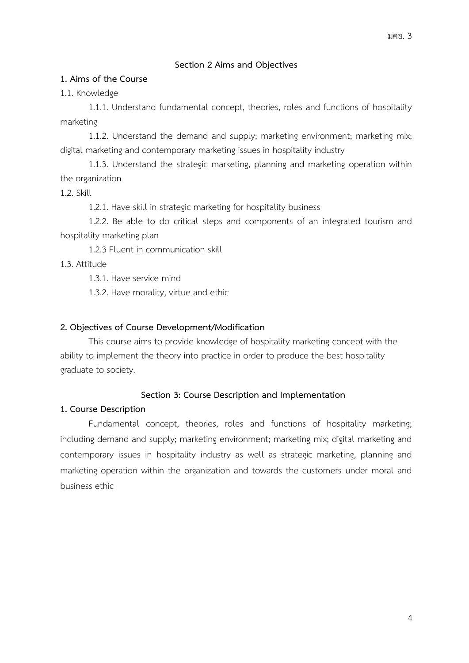### **Section 2 Aims and Objectives**

#### **1. Aims of the Course**

1.1. Knowledge

1.1.1. Understand fundamental concept, theories, roles and functions of hospitality marketing

1.1.2. Understand the demand and supply; marketing environment; marketing mix; digital marketing and contemporary marketing issues in hospitality industry

1.1.3. Understand the strategic marketing, planning and marketing operation within the organization

1.2. Skill

1.2.1. Have skill in strategic marketing for hospitality business

1.2.2. Be able to do critical steps and components of an integrated tourism and hospitality marketing plan

1.2.3 Fluent in communication skill

1.3. Attitude

1.3.1. Have service mind

1.3.2. Have morality, virtue and ethic

### **2. Objectives of Course Development/Modification**

This course aims to provide knowledge of hospitality marketing concept with the ability to implement the theory into practice in order to produce the best hospitality graduate to society.

#### **Section 3: Course Description and Implementation**

#### **1. Course Description**

Fundamental concept, theories, roles and functions of hospitality marketing; including demand and supply; marketing environment; marketing mix; digital marketing and contemporary issues in hospitality industry as well as strategic marketing, planning and marketing operation within the organization and towards the customers under moral and business ethic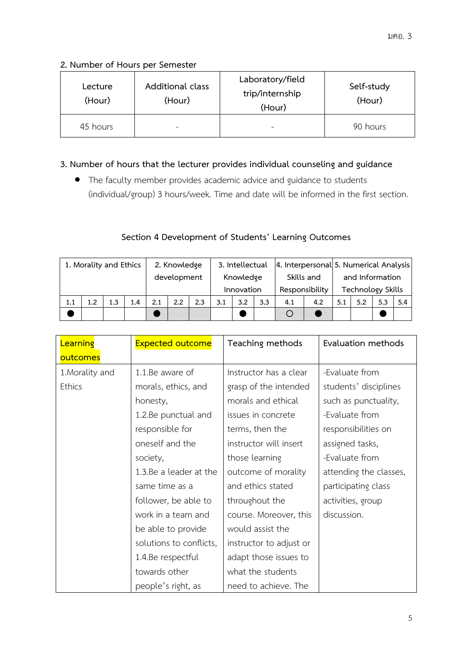### **2. Number of Hours per Semester**

| Lecture<br>(Hour) | Additional class<br>(Hour) | Laboratory/field<br>trip/internship<br>(Hour) | Self-study<br>(Hour) |
|-------------------|----------------------------|-----------------------------------------------|----------------------|
| 45 hours          | ۰                          | -                                             | 90 hours             |

### **3. Number of hours that the lecturer provides individual counseling and guidance**

 The faculty member provides academic advice and guidance to students (individual/group) 3 hours/week. Time and date will be informed in the first section.

### **Section 4 Development of Students' Learning Outcomes**

| 1. Morality and Ethics |     | 2. Knowledge |             |     | 3. Intellectual         |     |                              |     | 4. Interpersonal 5. Numerical Analysis      |     |     |     |     |     |     |
|------------------------|-----|--------------|-------------|-----|-------------------------|-----|------------------------------|-----|---------------------------------------------|-----|-----|-----|-----|-----|-----|
|                        |     |              | development |     | Knowledge<br>Innovation |     | Skills and<br>Responsibility |     | and Information<br><b>Technology Skills</b> |     |     |     |     |     |     |
| 1.1                    | 1.2 | 1.3          | 1.4         | 2.1 | 2.2                     | 2.3 | 3.1                          | 3.2 | 3.3                                         | 4.1 | 4.2 | 5.1 | 5.2 | 5.3 | 5.4 |
|                        |     |              |             |     |                         |     |                              |     |                                             |     |     |     |     |     |     |

| Learning        | <b>Expected outcome</b> | Teaching methods        | Evaluation methods     |
|-----------------|-------------------------|-------------------------|------------------------|
| outcomes        |                         |                         |                        |
| 1. Morality and | 1.1.Be aware of         | Instructor has a clear  | -Evaluate from         |
| <b>Ethics</b>   | morals, ethics, and     | grasp of the intended   | students' disciplines  |
|                 | honesty,                | morals and ethical      | such as punctuality,   |
|                 | 1.2.Be punctual and     | issues in concrete      | -Evaluate from         |
|                 | responsible for         | terms, then the         | responsibilities on    |
|                 | oneself and the         | instructor will insert  | assigned tasks,        |
|                 | society,                | those learning          | -Evaluate from         |
|                 | 1.3.Be a leader at the  | outcome of morality     | attending the classes, |
|                 | same time as a          | and ethics stated       | participating class    |
|                 | follower, be able to    | throughout the          | activities, group      |
|                 | work in a team and      | course. Moreover, this  | discussion.            |
|                 | be able to provide      | would assist the        |                        |
|                 | solutions to conflicts, | instructor to adjust or |                        |
|                 | 1.4.Be respectful       | adapt those issues to   |                        |
|                 | towards other           | what the students       |                        |
|                 | people's right, as      | need to achieve. The    |                        |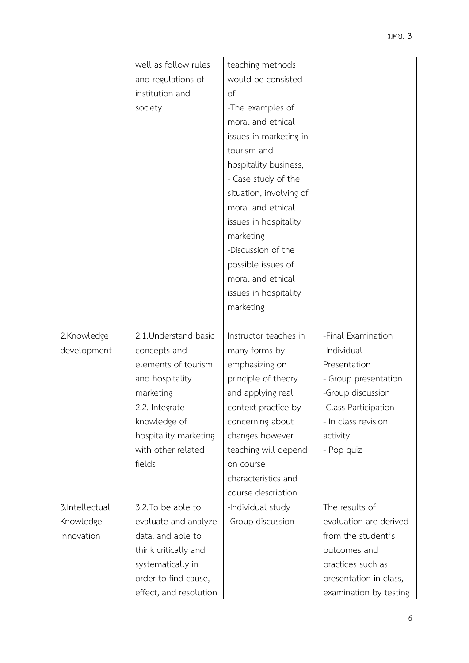|                | well as follow rules   | teaching methods        |                        |
|----------------|------------------------|-------------------------|------------------------|
|                | and regulations of     | would be consisted      |                        |
|                | institution and        | of:                     |                        |
|                | society.               | -The examples of        |                        |
|                |                        | moral and ethical       |                        |
|                |                        | issues in marketing in  |                        |
|                |                        | tourism and             |                        |
|                |                        | hospitality business,   |                        |
|                |                        | - Case study of the     |                        |
|                |                        | situation, involving of |                        |
|                |                        | moral and ethical       |                        |
|                |                        | issues in hospitality   |                        |
|                |                        | marketing               |                        |
|                |                        | -Discussion of the      |                        |
|                |                        | possible issues of      |                        |
|                |                        | moral and ethical       |                        |
|                |                        | issues in hospitality   |                        |
|                |                        | marketing               |                        |
|                |                        |                         |                        |
| 2.Knowledge    | 2.1. Understand basic  | Instructor teaches in   | -Final Examination     |
| development    | concepts and           | many forms by           | -Individual            |
|                | elements of tourism    | emphasizing on          | Presentation           |
|                | and hospitality        | principle of theory     | - Group presentation   |
|                | marketing              | and applying real       | -Group discussion      |
|                | 2.2. Integrate         | context practice by     | -Class Participation   |
|                | knowledge of           | concerning about        | - In class revision    |
|                | hospitality marketing  | changes however         | activity               |
|                | with other related     | teaching will depend    | - Pop quiz             |
|                | fields                 | on course               |                        |
|                |                        | characteristics and     |                        |
|                |                        | course description      |                        |
| 3.Intellectual | 3.2. To be able to     | -Individual study       | The results of         |
| Knowledge      | evaluate and analyze   | -Group discussion       | evaluation are derived |
| Innovation     | data, and able to      |                         | from the student's     |
|                | think critically and   |                         | outcomes and           |
|                | systematically in      |                         | practices such as      |
|                | order to find cause,   |                         | presentation in class, |
|                | effect, and resolution |                         | examination by testing |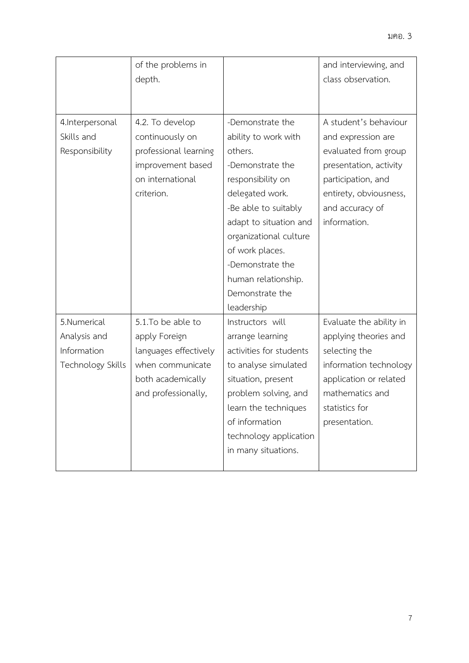|                                                                 | of the problems in<br>depth.                                                                                                |                                                                                                                                                                                                                                                                                            | and interviewing, and<br>class observation.                                                                                                                                      |
|-----------------------------------------------------------------|-----------------------------------------------------------------------------------------------------------------------------|--------------------------------------------------------------------------------------------------------------------------------------------------------------------------------------------------------------------------------------------------------------------------------------------|----------------------------------------------------------------------------------------------------------------------------------------------------------------------------------|
| 4. Interpersonal<br>Skills and<br>Responsibility                | 4.2. To develop<br>continuously on<br>professional learning<br>improvement based<br>on international<br>criterion.          | -Demonstrate the<br>ability to work with<br>others.<br>-Demonstrate the<br>responsibility on<br>delegated work.<br>-Be able to suitably<br>adapt to situation and<br>organizational culture<br>of work places.<br>-Demonstrate the<br>human relationship.<br>Demonstrate the<br>leadership | A student's behaviour<br>and expression are<br>evaluated from group<br>presentation, activity<br>participation, and<br>entirety, obviousness,<br>and accuracy of<br>information. |
| 5.Numerical<br>Analysis and<br>Information<br>Technology Skills | 5.1.To be able to<br>apply Foreign<br>languages effectively<br>when communicate<br>both academically<br>and professionally, | Instructors will<br>arrange learning<br>activities for students<br>to analyse simulated<br>situation, present<br>problem solving, and<br>learn the techniques<br>of information<br>technology application<br>in many situations.                                                           | Evaluate the ability in<br>applying theories and<br>selecting the<br>information technology<br>application or related<br>mathematics and<br>statistics for<br>presentation.      |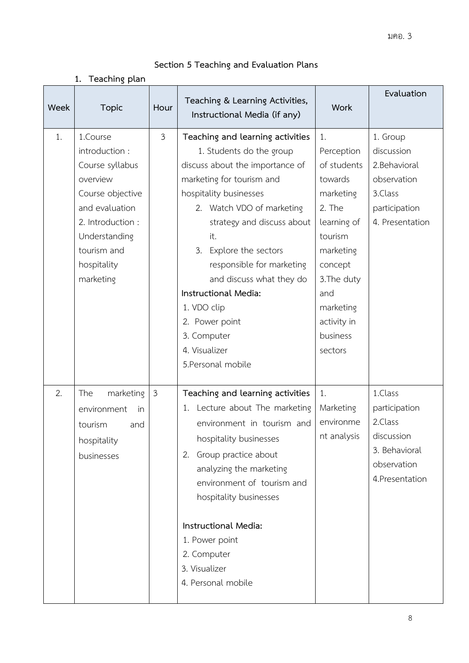|  |  |  | Section 5 Teaching and Evaluation Plans |  |
|--|--|--|-----------------------------------------|--|
|--|--|--|-----------------------------------------|--|

**1. Teaching plan**

| Week | <b>Topic</b>                                                                                                                                                                     | Hour           | Teaching & Learning Activities,<br>Instructional Media (if any)                                                                                                                                                                                                                                                                                                                                                               | <b>Work</b>                                                                                                                                                                                  | Evaluation                                                                                            |
|------|----------------------------------------------------------------------------------------------------------------------------------------------------------------------------------|----------------|-------------------------------------------------------------------------------------------------------------------------------------------------------------------------------------------------------------------------------------------------------------------------------------------------------------------------------------------------------------------------------------------------------------------------------|----------------------------------------------------------------------------------------------------------------------------------------------------------------------------------------------|-------------------------------------------------------------------------------------------------------|
| 1.   | 1.Course<br>introduction :<br>Course syllabus<br>overview<br>Course objective<br>and evaluation<br>2. Introduction :<br>Understanding<br>tourism and<br>hospitality<br>marketing | $\mathfrak{Z}$ | Teaching and learning activities<br>1. Students do the group<br>discuss about the importance of<br>marketing for tourism and<br>hospitality businesses<br>2. Watch VDO of marketing<br>strategy and discuss about<br>it.<br>Explore the sectors<br>3.<br>responsible for marketing<br>and discuss what they do<br>Instructional Media:<br>1. VDO clip<br>2. Power point<br>3. Computer<br>4. Visualizer<br>5. Personal mobile | 1.<br>Perception<br>of students<br>towards<br>marketing<br>2. The<br>learning of<br>tourism<br>marketing<br>concept<br>3. The duty<br>and<br>marketing<br>activity in<br>business<br>sectors | 1. Group<br>discussion<br>2. Behavioral<br>observation<br>3.Class<br>participation<br>4. Presentation |
| 2.   | marketing<br>The<br>environment<br>in<br>tourism<br>and<br>hospitality<br>businesses                                                                                             | $\mathfrak{Z}$ | Teaching and learning activities<br>1. Lecture about The marketing<br>environment in tourism and<br>hospitality businesses<br>Group practice about<br>2.<br>analyzing the marketing<br>environment of tourism and<br>hospitality businesses<br>Instructional Media:<br>1. Power point<br>2. Computer<br>3. Visualizer<br>4. Personal mobile                                                                                   | 1.<br>Marketing<br>environme<br>nt analysis                                                                                                                                                  | 1.Class<br>participation<br>2.Class<br>discussion<br>3. Behavioral<br>observation<br>4. Presentation  |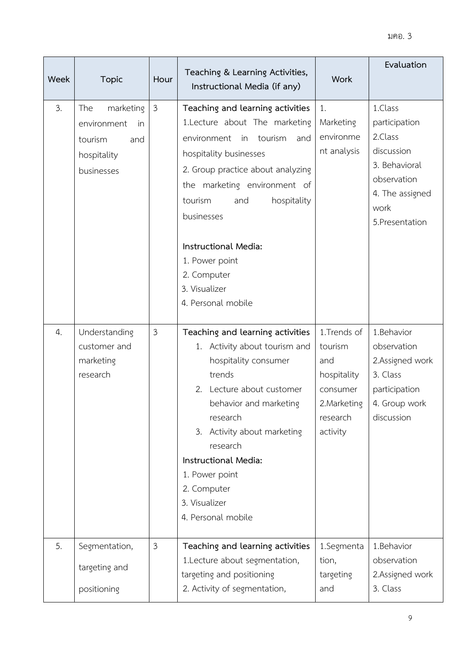### มคอ. 3

| <b>Week</b> | <b>Topic</b>                                                                         | Hour           | Teaching & Learning Activities,<br>Instructional Media (if any)                                                                                                                                                                                                                                                                                        | <b>Work</b>                                                                                      | Evaluation                                                                                                                      |
|-------------|--------------------------------------------------------------------------------------|----------------|--------------------------------------------------------------------------------------------------------------------------------------------------------------------------------------------------------------------------------------------------------------------------------------------------------------------------------------------------------|--------------------------------------------------------------------------------------------------|---------------------------------------------------------------------------------------------------------------------------------|
| 3.          | marketing<br>The<br>environment<br>in<br>tourism<br>and<br>hospitality<br>businesses | $\mathfrak{Z}$ | Teaching and learning activities<br>1.Lecture about The marketing<br>tourism<br>environment<br>in<br>and<br>hospitality businesses<br>2. Group practice about analyzing<br>the marketing environment of<br>tourism<br>hospitality<br>and<br>businesses<br>Instructional Media:<br>1. Power point<br>2. Computer<br>3. Visualizer<br>4. Personal mobile | 1.<br>Marketing<br>environme<br>nt analysis                                                      | 1.Class<br>participation<br>2.Class<br>discussion<br>3. Behavioral<br>observation<br>4. The assigned<br>work<br>5. Presentation |
| 4.          | Understanding<br>customer and<br>marketing<br>research                               | $\mathfrak{Z}$ | Teaching and learning activities<br>1. Activity about tourism and<br>hospitality consumer<br>trends<br>2.<br>Lecture about customer<br>behavior and marketing<br>research<br>Activity about marketing<br>3.<br>research<br>Instructional Media:<br>1. Power point<br>2. Computer<br>3. Visualizer<br>4. Personal mobile                                | 1.Trends of<br>tourism<br>and<br>hospitality<br>consumer<br>2. Marketing<br>research<br>activity | 1.Behavior<br>observation<br>2.Assigned work<br>3. Class<br>participation<br>4. Group work<br>discussion                        |
| 5.          | Segmentation,<br>targeting and<br>positioning                                        | 3              | Teaching and learning activities<br>1. Lecture about segmentation,<br>targeting and positioning<br>2. Activity of segmentation,                                                                                                                                                                                                                        | 1.Segmenta<br>tion,<br>targeting<br>and                                                          | 1.Behavior<br>observation<br>2.Assigned work<br>3. Class                                                                        |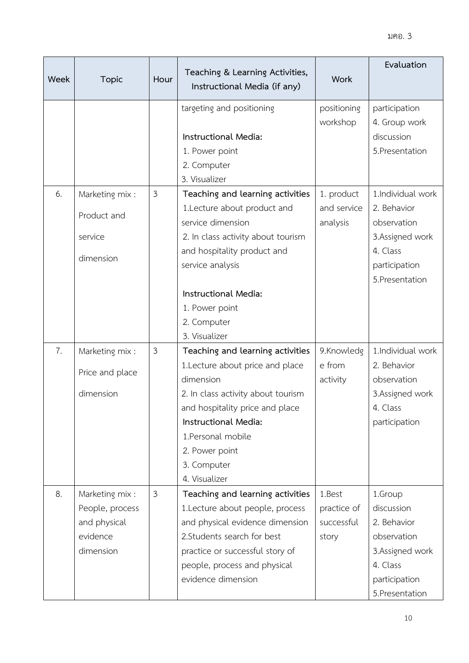| Week | <b>Topic</b>    | Hour | Teaching & Learning Activities,<br>Instructional Media (if any) | <b>Work</b> | Evaluation        |
|------|-----------------|------|-----------------------------------------------------------------|-------------|-------------------|
|      |                 |      | targeting and positioning                                       | positioning | participation     |
|      |                 |      |                                                                 | workshop    | 4. Group work     |
|      |                 |      | Instructional Media:                                            |             | discussion        |
|      |                 |      | 1. Power point                                                  |             | 5. Presentation   |
|      |                 |      | 2. Computer                                                     |             |                   |
|      |                 |      | 3. Visualizer                                                   |             |                   |
| 6.   | Marketing mix:  | 3    | Teaching and learning activities                                | 1. product  | 1.Individual work |
|      | Product and     |      | 1.Lecture about product and                                     | and service | 2. Behavior       |
|      |                 |      | service dimension                                               | analysis    | observation       |
|      | service         |      | 2. In class activity about tourism                              |             | 3.Assigned work   |
|      | dimension       |      | and hospitality product and                                     |             | 4. Class          |
|      |                 |      | service analysis                                                |             | participation     |
|      |                 |      |                                                                 |             | 5. Presentation   |
|      |                 |      | Instructional Media:                                            |             |                   |
|      |                 |      | 1. Power point                                                  |             |                   |
|      |                 |      | 2. Computer<br>3. Visualizer                                    |             |                   |
| 7.   | Marketing mix:  | 3    | Teaching and learning activities                                | 9.Knowledg  | 1.Individual work |
|      |                 |      | 1. Lecture about price and place                                | e from      | 2. Behavior       |
|      | Price and place |      | dimension                                                       | activity    | observation       |
|      | dimension       |      | 2. In class activity about tourism                              |             | 3.Assigned work   |
|      |                 |      | and hospitality price and place                                 |             | 4. Class          |
|      |                 |      | Instructional Media:                                            |             | participation     |
|      |                 |      | 1.Personal mobile                                               |             |                   |
|      |                 |      | 2. Power point                                                  |             |                   |
|      |                 |      | 3. Computer                                                     |             |                   |
|      |                 |      | 4. Visualizer                                                   |             |                   |
| 8.   | Marketing mix:  | 3    | Teaching and learning activities                                | 1.Best      | 1.Group           |
|      | People, process |      | 1.Lecture about people, process                                 | practice of | discussion        |
|      | and physical    |      | and physical evidence dimension                                 | successful  | 2. Behavior       |
|      | evidence        |      | 2. Students search for best                                     | story       | observation       |
|      | dimension       |      | practice or successful story of                                 |             | 3.Assigned work   |
|      |                 |      | people, process and physical                                    |             | 4. Class          |
|      |                 |      | evidence dimension                                              |             | participation     |
|      |                 |      |                                                                 |             | 5. Presentation   |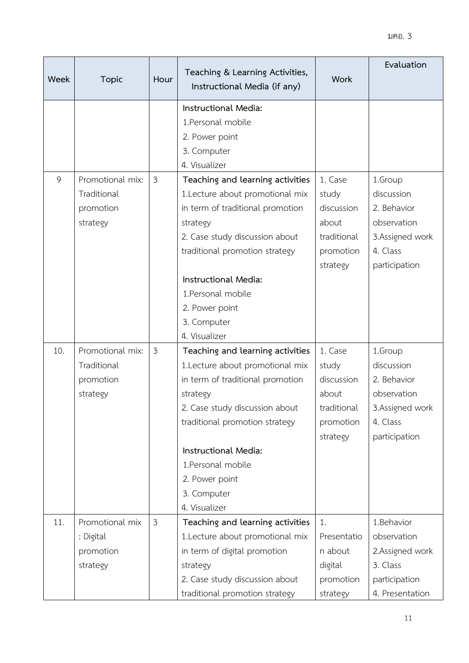| Week | <b>Topic</b>                                             | Hour           | Teaching & Learning Activities,<br>Instructional Media (if any)                                                                                                                                                                                                                         | <b>Work</b>                                                                     | Evaluation                                                                                           |
|------|----------------------------------------------------------|----------------|-----------------------------------------------------------------------------------------------------------------------------------------------------------------------------------------------------------------------------------------------------------------------------------------|---------------------------------------------------------------------------------|------------------------------------------------------------------------------------------------------|
|      |                                                          |                | Instructional Media:<br>1. Personal mobile<br>2. Power point<br>3. Computer<br>4. Visualizer                                                                                                                                                                                            |                                                                                 |                                                                                                      |
| 9    | Promotional mix:<br>Traditional<br>promotion<br>strategy | 3              | Teaching and learning activities<br>1.Lecture about promotional mix<br>in term of traditional promotion<br>strategy<br>2. Case study discussion about<br>traditional promotion strategy<br>Instructional Media:<br>1. Personal mobile<br>2. Power point                                 | 1. Case<br>study<br>discussion<br>about<br>traditional<br>promotion<br>strategy | 1.Group<br>discussion<br>2. Behavior<br>observation<br>3. Assigned work<br>4. Class<br>participation |
|      |                                                          |                | 3. Computer<br>4. Visualizer                                                                                                                                                                                                                                                            |                                                                                 |                                                                                                      |
| 10.  | Promotional mix:<br>Traditional<br>promotion<br>strategy | $\mathfrak{Z}$ | Teaching and learning activities<br>1.Lecture about promotional mix<br>in term of traditional promotion<br>strategy<br>2. Case study discussion about<br>traditional promotion strategy<br>Instructional Media:<br>1. Personal mobile<br>2. Power point<br>3. Computer<br>4. Visualizer | 1. Case<br>study<br>discussion<br>about<br>traditional<br>promotion<br>strategy | 1.Group<br>discussion<br>2. Behavior<br>observation<br>3.Assigned work<br>4. Class<br>participation  |
| 11.  | Promotional mix<br>: Digital<br>promotion<br>strategy    | $\mathfrak{Z}$ | Teaching and learning activities<br>1.Lecture about promotional mix<br>in term of digital promotion<br>strategy<br>2. Case study discussion about<br>traditional promotion strategy                                                                                                     | 1.<br>Presentatio<br>n about<br>digital<br>promotion<br>strategy                | 1.Behavior<br>observation<br>2.Assigned work<br>3. Class<br>participation<br>4. Presentation         |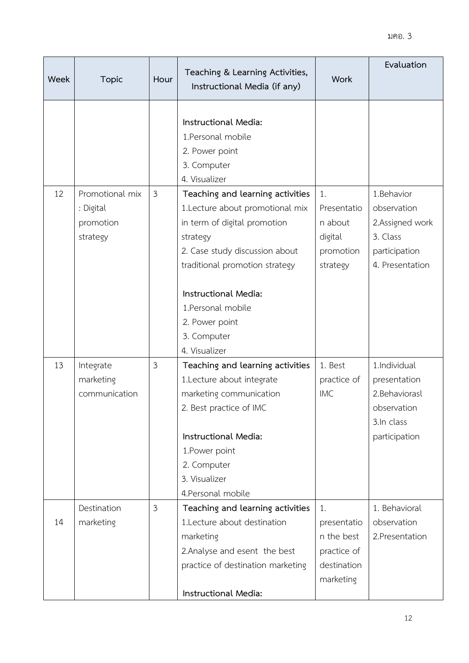| Week | <b>Topic</b>                                          | Hour | Teaching & Learning Activities,<br>Instructional Media (if any)                                                                                                                                                     | <b>Work</b>                                                                | Evaluation                                                                                   |
|------|-------------------------------------------------------|------|---------------------------------------------------------------------------------------------------------------------------------------------------------------------------------------------------------------------|----------------------------------------------------------------------------|----------------------------------------------------------------------------------------------|
|      |                                                       |      | Instructional Media:<br>1. Personal mobile<br>2. Power point<br>3. Computer<br>4. Visualizer                                                                                                                        |                                                                            |                                                                                              |
| 12   | Promotional mix<br>: Digital<br>promotion<br>strategy | 3    | Teaching and learning activities<br>1.Lecture about promotional mix<br>in term of digital promotion<br>strategy<br>2. Case study discussion about<br>traditional promotion strategy<br>Instructional Media:         | 1.<br>Presentatio<br>n about<br>digital<br>promotion<br>strategy           | 1.Behavior<br>observation<br>2.Assigned work<br>3. Class<br>participation<br>4. Presentation |
|      |                                                       |      | 1. Personal mobile<br>2. Power point<br>3. Computer<br>4. Visualizer                                                                                                                                                |                                                                            |                                                                                              |
| 13   | Integrate<br>marketing<br>communication               | 3    | Teaching and learning activities<br>1.Lecture about integrate<br>marketing communication<br>2. Best practice of IMC<br>Instructional Media:<br>1. Power point<br>2. Computer<br>3. Visualizer<br>4. Personal mobile | 1. Best<br>practice of<br><b>IMC</b>                                       | 1.Individual<br>presentation<br>2.Behaviorasl<br>observation<br>3.In class<br>participation  |
| 14   | Destination<br>marketing                              | 3    | Teaching and learning activities<br>1.Lecture about destination<br>marketing<br>2. Analyse and esent the best<br>practice of destination marketing<br>Instructional Media:                                          | 1.<br>presentatio<br>n the best<br>practice of<br>destination<br>marketing | 1. Behavioral<br>observation<br>2. Presentation                                              |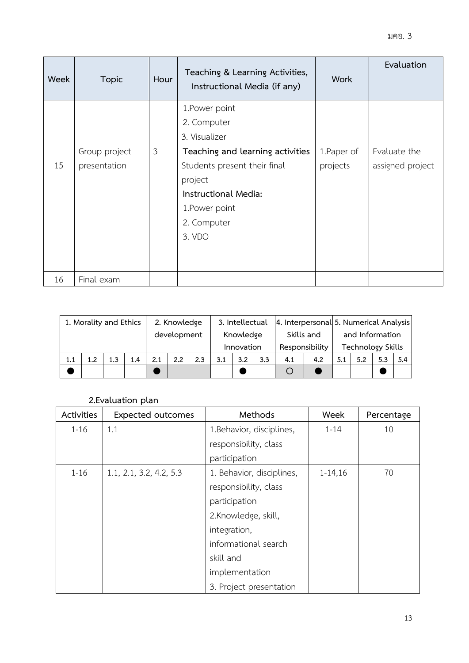| Week | <b>Topic</b>  | Hour | Teaching & Learning Activities,<br>Instructional Media (if any) | <b>Work</b> | Evaluation       |
|------|---------------|------|-----------------------------------------------------------------|-------------|------------------|
|      |               |      | 1. Power point                                                  |             |                  |
|      |               |      | 2. Computer                                                     |             |                  |
|      |               |      | 3. Visualizer                                                   |             |                  |
|      | Group project | 3    | Teaching and learning activities                                | 1. Paper of | Evaluate the     |
| 15   | presentation  |      | Students present their final                                    | projects    | assigned project |
|      |               |      | project                                                         |             |                  |
|      |               |      | Instructional Media:                                            |             |                  |
|      |               |      | 1. Power point                                                  |             |                  |
|      |               |      | 2. Computer                                                     |             |                  |
|      |               |      | 3. VDO                                                          |             |                  |
|      |               |      |                                                                 |             |                  |
|      |               |      |                                                                 |             |                  |
| 16   | Final exam    |      |                                                                 |             |                  |

| 1. Morality and Ethics |     | 2. Knowledge |     | 3. Intellectual |     |                |     | 4. Interpersonal 5. Numerical Analysis |     |     |     |     |     |     |      |
|------------------------|-----|--------------|-----|-----------------|-----|----------------|-----|----------------------------------------|-----|-----|-----|-----|-----|-----|------|
|                        |     | development  |     | Knowledge       |     | Skills and     |     | and Information                        |     |     |     |     |     |     |      |
|                        |     |              |     | Innovation      |     | Responsibility |     | <b>Technology Skills</b>               |     |     |     |     |     |     |      |
| 1.1                    | 1.2 | 13           | 1.4 | 2.1             | 2.2 | 2.3            | 3.1 | 3.2                                    | 3.3 | 4.1 | 4.2 | 5.1 | 5.2 | 5.3 | -5.4 |
|                        |     |              |     |                 |     |                |     |                                        |     |     |     |     |     |     |      |

### **2.Evaluation plan**

| Activities | <b>Expected outcomes</b> | Methods                   | Week        | Percentage |
|------------|--------------------------|---------------------------|-------------|------------|
| $1 - 16$   | 1.1                      | 1.Behavior, disciplines,  | $1 - 14$    | 10         |
|            |                          | responsibility, class     |             |            |
|            |                          | participation             |             |            |
| $1 - 16$   | 1.1, 2.1, 3.2, 4.2, 5.3  | 1. Behavior, disciplines, | $1 - 14,16$ | 70         |
|            |                          | responsibility, class     |             |            |
|            |                          | participation             |             |            |
|            |                          | 2.Knowledge, skill,       |             |            |
|            |                          | integration,              |             |            |
|            |                          | informational search      |             |            |
|            |                          | skill and                 |             |            |
|            |                          | implementation            |             |            |
|            |                          | 3. Project presentation   |             |            |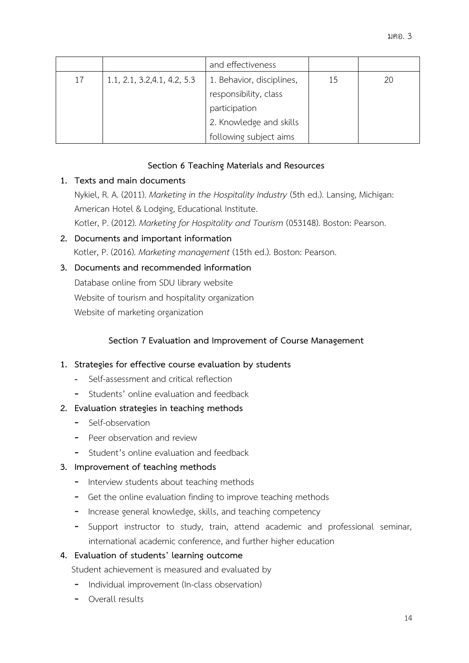|    |                              | and effectiveness         |    |    |
|----|------------------------------|---------------------------|----|----|
| 17 | 1.1, 2.1, 3.2, 4.1, 4.2, 5.3 | 1. Behavior, disciplines, | 15 | 20 |
|    |                              | responsibility, class     |    |    |
|    |                              | participation             |    |    |
|    |                              | 2. Knowledge and skills   |    |    |
|    |                              | following subject aims    |    |    |

### **Section 6 Teaching Materials and Resources**

### **1. Texts and main documents**

Nykiel, R. A. (2011). *Marketing in the Hospitality Industry* (5th ed.). Lansing, Michigan: American Hotel & Lodging, Educational Institute. Kotler, P. (2012). *Marketing for Hospitality and Tourism* (053148). Boston: Pearson.

**2. Documents and important information** Kotler, P. (2016). *Marketing management* (15th ed.). Boston: Pearson.

### **3. Documents and recommended information**

Database online from SDU library website Website of tourism and hospitality organization Website of marketing organization

### **Section 7 Evaluation and Improvement of Course Management**

### **1. Strategies for effective course evaluation by students**

- Self-assessment and critical reflection
- Students' online evaluation and feedback

### **2. Evaluation strategies in teaching methods**

- Self-observation
- Peer observation and review
- Student's online evaluation and feedback

#### **3. Improvement of teaching methods**

- Interview students about teaching methods
- Get the online evaluation finding to improve teaching methods
- Increase general knowledge, skills, and teaching competency
- Support instructor to study, train, attend academic and professional seminar, international academic conference, and further higher education

### **4. Evaluation of students' learning outcome**

Student achievement is measured and evaluated by

- Individual improvement (In-class observation)
- Overall results